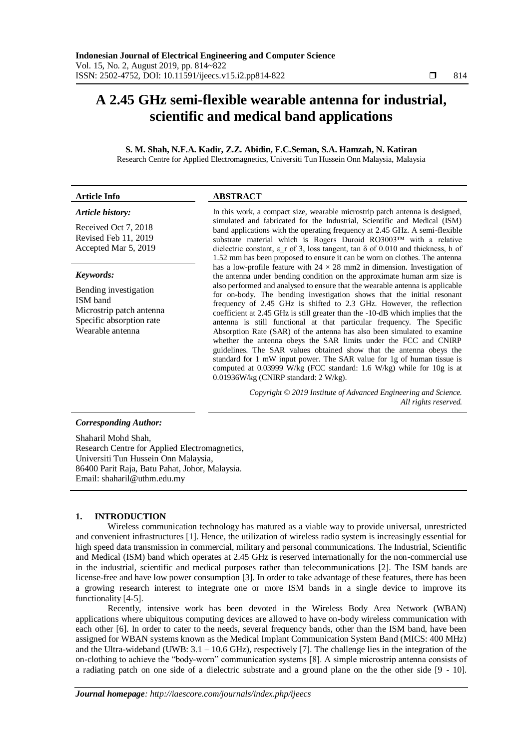# **A 2.45 GHz semi-flexible wearable antenna for industrial, scientific and medical band applications**

# **S. M. Shah, N.F.A. Kadir, Z.Z. Abidin, F.C.Seman, S.A. Hamzah, N. Katiran** Research Centre for Applied Electromagnetics, Universiti Tun Hussein Onn Malaysia, Malaysia

#### **Article Info ABSTRACT**

# *Article history:*

Received Oct 7, 2018 Revised Feb 11, 2019 Accepted Mar 5, 2019

#### *Keywords:*

Bending investigation ISM band Microstrip patch antenna Specific absorption rate Wearable antenna

In this work, a compact size, wearable microstrip patch antenna is designed, simulated and fabricated for the Industrial, Scientific and Medical (ISM) band applications with the operating frequency at 2.45 GHz. A semi-flexible substrate material which is Rogers Duroid RO3003™ with a relative dielectric constant,  $\varepsilon$  r of 3, loss tangent, tan  $\delta$  of 0.010 and thickness, h of 1.52 mm has been proposed to ensure it can be worn on clothes. The antenna has a low-profile feature with  $24 \times 28$  mm2 in dimension. Investigation of the antenna under bending condition on the approximate human arm size is also performed and analysed to ensure that the wearable antenna is applicable for on-body. The bending investigation shows that the initial resonant frequency of 2.45 GHz is shifted to 2.3 GHz. However, the reflection coefficient at 2.45 GHz is still greater than the -10-dB which implies that the antenna is still functional at that particular frequency. The Specific Absorption Rate (SAR) of the antenna has also been simulated to examine whether the antenna obeys the SAR limits under the FCC and CNIRP guidelines. The SAR values obtained show that the antenna obeys the standard for 1 mW input power. The SAR value for 1g of human tissue is computed at 0.03999 W/kg (FCC standard: 1.6 W/kg) while for 10g is at 0.01936W/kg (CNIRP standard: 2 W/kg).

> *Copyright © 2019 Institute of Advanced Engineering and Science. All rights reserved.*

# *Corresponding Author:*

Shaharil Mohd Shah, Research Centre for Applied Electromagnetics, Universiti Tun Hussein Onn Malaysia, 86400 Parit Raja, Batu Pahat, Johor, Malaysia. Email: shaharil@uthm.edu.my

# **1. INTRODUCTION**

Wireless communication technology has matured as a viable way to provide universal, unrestricted and convenient infrastructures [1]. Hence, the utilization of wireless radio system is increasingly essential for high speed data transmission in commercial, military and personal communications. The Industrial, Scientific and Medical (ISM) band which operates at 2.45 GHz is reserved internationally for the non-commercial use in the industrial, scientific and medical purposes rather than telecommunications [2]. The ISM bands are license-free and have low power consumption [3]. In order to take advantage of these features, there has been a growing research interest to integrate one or more ISM bands in a single device to improve its functionality [4-5].

Recently, intensive work has been devoted in the Wireless Body Area Network (WBAN) applications where ubiquitous computing devices are allowed to have on-body wireless communication with each other [6]. In order to cater to the needs, several frequency bands, other than the ISM band, have been assigned for WBAN systems known as the Medical Implant Communication System Band (MICS: 400 MHz) and the Ultra-wideband (UWB:  $3.1 - 10.6$  GHz), respectively [7]. The challenge lies in the integration of the on-clothing to achieve the "body-worn" communication systems [8]. A simple microstrip antenna consists of a radiating patch on one side of a dielectric substrate and a ground plane on the the other side [9 - 10].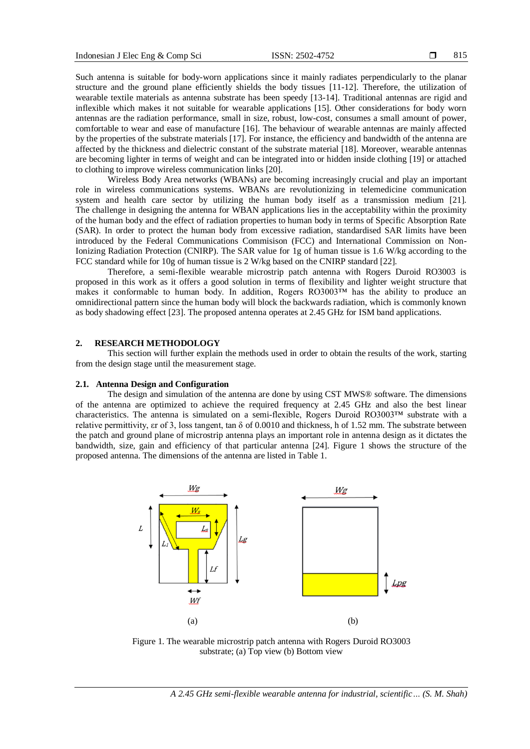Such antenna is suitable for body-worn applications since it mainly radiates perpendicularly to the planar structure and the ground plane efficiently shields the body tissues [11-12]. Therefore, the utilization of wearable textile materials as antenna substrate has been speedy [13-14]. Traditional antennas are rigid and inflexible which makes it not suitable for wearable applications [15]. Other considerations for body worn antennas are the radiation performance, small in size, robust, low-cost, consumes a small amount of power, comfortable to wear and ease of manufacture [16]. The behaviour of wearable antennas are mainly affected by the properties of the substrate materials [17]. For instance, the efficiency and bandwidth of the antenna are affected by the thickness and dielectric constant of the substrate material [18]. Moreover, wearable antennas are becoming lighter in terms of weight and can be integrated into or hidden inside clothing [19] or attached to clothing to improve wireless communication links [20].

Wireless Body Area networks (WBANs) are becoming increasingly crucial and play an important role in wireless communications systems. WBANs are revolutionizing in telemedicine communication system and health care sector by utilizing the human body itself as a transmission medium [21]. The challenge in designing the antenna for WBAN applications lies in the acceptability within the proximity of the human body and the effect of radiation properties to human body in terms of Specific Absorption Rate (SAR). In order to protect the human body from excessive radiation, standardised SAR limits have been introduced by the Federal Communications Commisison (FCC) and International Commission on Non-Ionizing Radiation Protection (CNIRP). The SAR value for 1g of human tissue is 1.6 W/kg according to the FCC standard while for 10g of human tissue is 2 W/kg based on the CNIRP standard [22].

Therefore, a semi-flexible wearable microstrip patch antenna with Rogers Duroid RO3003 is proposed in this work as it offers a good solution in terms of flexibility and lighter weight structure that makes it conformable to human body. In addition, Rogers RO3003™ has the ability to produce an omnidirectional pattern since the human body will block the backwards radiation, which is commonly known as body shadowing effect [23]. The proposed antenna operates at 2.45 GHz for ISM band applications.

# **2. RESEARCH METHODOLOGY**

This section will further explain the methods used in order to obtain the results of the work, starting from the design stage until the measurement stage.

# **2.1. Antenna Design and Configuration**

The design and simulation of the antenna are done by using CST MWS® software. The dimensions of the antenna are optimized to achieve the required frequency at 2.45 GHz and also the best linear characteristics. The antenna is simulated on a semi-flexible, Rogers Duroid RO3003™ substrate with a relative permittivity,  $\epsilon$ r of 3, loss tangent, tan  $\delta$  of 0.0010 and thickness, h of 1.52 mm. The substrate between the patch and ground plane of microstrip antenna plays an important role in antenna design as it dictates the bandwidth, size, gain and efficiency of that particular antenna [24]. Figure 1 shows the structure of the proposed antenna. The dimensions of the antenna are listed in Table 1.



Figure 1. The wearable microstrip patch antenna with Rogers Duroid RO3003 substrate; (a) Top view (b) Bottom view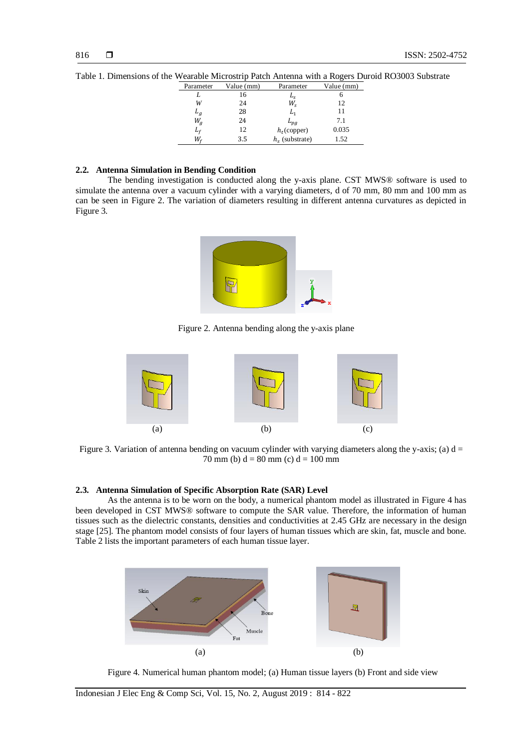| Parameter | Value (mm) | Parameter        | Value (mm) |
|-----------|------------|------------------|------------|
|           | 16         | $L_{S}$          |            |
| W         | 24         | $W_{\rm s}$      | 12         |
| $L_g$     | 28         | L,               | 11         |
| $W_g$     | 24         | $L_{pg}$         | 7.1        |
| $L_f$     | 12         | $h_t$ (copper)   | 0.035      |
| W.        | 3.5        | $hs$ (substrate) | 1.52       |

Table 1. Dimensions of the Wearable Microstrip Patch Antenna with a Rogers Duroid RO3003 Substrate

# **2.2. Antenna Simulation in Bending Condition**

The bending investigation is conducted along the y-axis plane. CST MWS® software is used to simulate the antenna over a vacuum cylinder with a varying diameters, d of 70 mm, 80 mm and 100 mm as can be seen in Figure 2. The variation of diameters resulting in different antenna curvatures as depicted in Figure 3.



Figure 2. Antenna bending along the y-axis plane



Figure 3. Variation of antenna bending on vacuum cylinder with varying diameters along the y-axis; (a)  $d =$ 70 mm (b)  $d = 80$  mm (c)  $d = 100$  mm

#### **2.3. Antenna Simulation of Specific Absorption Rate (SAR) Level**

As the antenna is to be worn on the body, a numerical phantom model as illustrated in Figure 4 has been developed in CST MWS® software to compute the SAR value. Therefore, the information of human tissues such as the dielectric constants, densities and conductivities at 2.45 GHz are necessary in the design stage [25]. The phantom model consists of four layers of human tissues which are skin, fat, muscle and bone. Table 2 lists the important parameters of each human tissue layer.



Figure 4. Numerical human phantom model; (a) Human tissue layers (b) Front and side view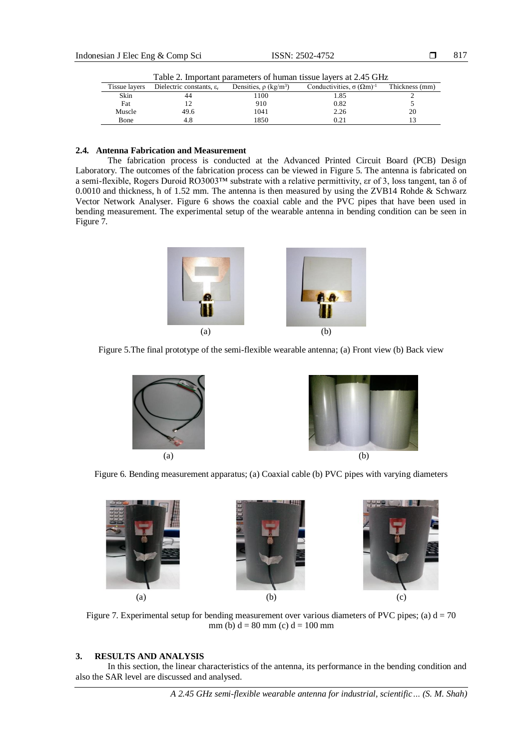|        | Table 2. Important parameters of human tissue layers at 2.45 GHz |                                        |                                          |                |  |  |
|--------|------------------------------------------------------------------|----------------------------------------|------------------------------------------|----------------|--|--|
|        | Tissue layers Dielectric constants, $\varepsilon_r$              | Densities, $\rho$ (kg/m <sup>3</sup> ) | Conductivities, $\sigma (\Omega m)^{-1}$ | Thickness (mm) |  |  |
| Skin   |                                                                  | 1100                                   | 1.85                                     |                |  |  |
| Fat    |                                                                  | 910                                    | 0.82                                     |                |  |  |
| Muscle | 49.6                                                             | 1041                                   | 2.26                                     | 20             |  |  |
| Bone   |                                                                  | 1850                                   | 0.21                                     |                |  |  |

# **2.4. Antenna Fabrication and Measurement**

The fabrication process is conducted at the Advanced Printed Circuit Board (PCB) Design Laboratory. The outcomes of the fabrication process can be viewed in Figure 5. The antenna is fabricated on a semi-flexible, Rogers Duroid RO3003™ substrate with a relative permittivity, εr of 3, loss tangent, tan δ of 0.0010 and thickness, h of 1.52 mm. The antenna is then measured by using the ZVB14 Rohde & Schwarz Vector Network Analyser. Figure 6 shows the coaxial cable and the PVC pipes that have been used in bending measurement. The experimental setup of the wearable antenna in bending condition can be seen in Figure 7.













Figure 7. Experimental setup for bending measurement over various diameters of PVC pipes; (a)  $d = 70$ mm (b)  $d = 80$  mm (c)  $d = 100$  mm

#### **3. RESULTS AND ANALYSIS**

In this section, the linear characteristics of the antenna, its performance in the bending condition and also the SAR level are discussed and analysed.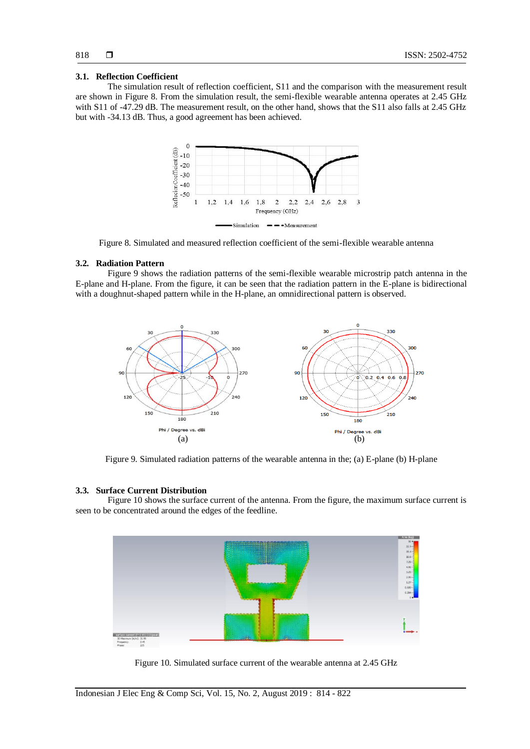#### **3.1. Reflection Coefficient**

The simulation result of reflection coefficient, S11 and the comparison with the measurement result are shown in Figure 8. From the simulation result, the semi-flexible wearable antenna operates at 2.45 GHz with S11 of -47.29 dB. The measurement result, on the other hand, shows that the S11 also falls at 2.45 GHz but with -34.13 dB. Thus, a good agreement has been achieved.



Figure 8. Simulated and measured reflection coefficient of the semi-flexible wearable antenna

#### **3.2. Radiation Pattern**

Figure 9 shows the radiation patterns of the semi-flexible wearable microstrip patch antenna in the E-plane and H-plane. From the figure, it can be seen that the radiation pattern in the E-plane is bidirectional with a doughnut-shaped pattern while in the H-plane, an omnidirectional pattern is observed.



Figure 9. Simulated radiation patterns of the wearable antenna in the; (a) E-plane (b) H-plane

# **3.3. Surface Current Distribution**

Figure 10 shows the surface current of the antenna. From the figure, the maximum surface current is seen to be concentrated around the edges of the feedline.



Figure 10. Simulated surface current of the wearable antenna at 2.45 GHz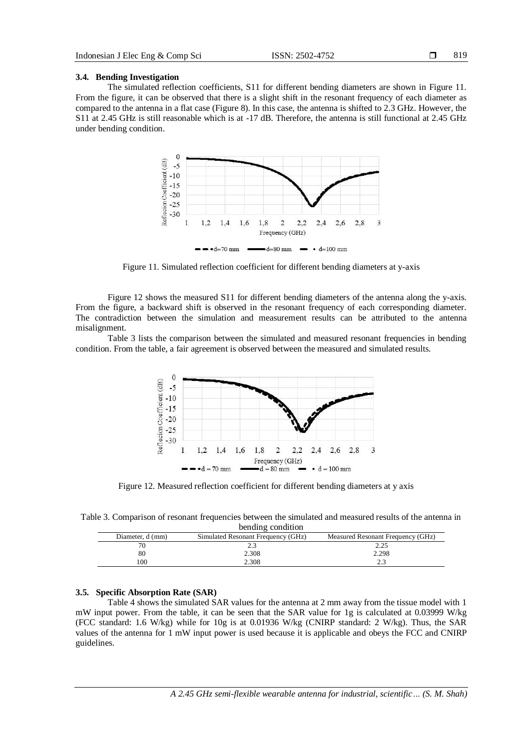#### **3.4. Bending Investigation**

The simulated reflection coefficients, S11 for different bending diameters are shown in Figure 11. From the figure, it can be observed that there is a slight shift in the resonant frequency of each diameter as compared to the antenna in a flat case (Figure 8). In this case, the antenna is shifted to 2.3 GHz. However, the S11 at 2.45 GHz is still reasonable which is at -17 dB. Therefore, the antenna is still functional at 2.45 GHz under bending condition.



 $-d=70$  mm  $-d=80$  mm  $-d=100$  mm

Figure 11. Simulated reflection coefficient for different bending diameters at y-axis

Figure 12 shows the measured S11 for different bending diameters of the antenna along the y-axis. From the figure, a backward shift is observed in the resonant frequency of each corresponding diameter. The contradiction between the simulation and measurement results can be attributed to the antenna misalignment.

Table 3 lists the comparison between the simulated and measured resonant frequencies in bending condition. From the table, a fair agreement is observed between the measured and simulated results.



Figure 12. Measured reflection coefficient for different bending diameters at y axis

Table 3. Comparison of resonant frequencies between the simulated and measured results of the antenna in bending condition

| Diameter, d (mm) | Simulated Resonant Frequency (GHz) | Measured Resonant Frequency (GHz) |  |  |  |  |
|------------------|------------------------------------|-----------------------------------|--|--|--|--|
|                  |                                    | 2.25                              |  |  |  |  |
| 80               | 2.308                              | 2.298                             |  |  |  |  |
| 00               | 2.308                              | <u>.</u>                          |  |  |  |  |

#### **3.5. Specific Absorption Rate (SAR)**

Table 4 shows the simulated SAR values for the antenna at 2 mm away from the tissue model with 1 mW input power. From the table, it can be seen that the SAR value for 1g is calculated at 0.03999 W/kg (FCC standard: 1.6 W/kg) while for 10g is at 0.01936 W/kg (CNIRP standard: 2 W/kg). Thus, the SAR values of the antenna for 1 mW input power is used because it is applicable and obeys the FCC and CNIRP guidelines.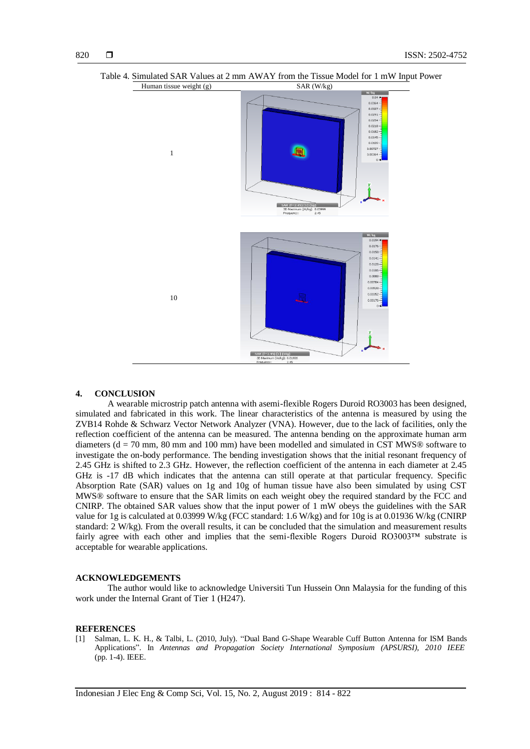



#### **4. CONCLUSION**

A wearable microstrip patch antenna with asemi-flexible Rogers Duroid RO3003 has been designed, simulated and fabricated in this work. The linear characteristics of the antenna is measured by using the ZVB14 Rohde & Schwarz Vector Network Analyzer (VNA). However, due to the lack of facilities, only the reflection coefficient of the antenna can be measured. The antenna bending on the approximate human arm diameters ( $d = 70$  mm,  $80$  mm and  $100$  mm) have been modelled and simulated in CST MWS® software to investigate the on-body performance. The bending investigation shows that the initial resonant frequency of 2.45 GHz is shifted to 2.3 GHz. However, the reflection coefficient of the antenna in each diameter at 2.45 GHz is -17 dB which indicates that the antenna can still operate at that particular frequency. Specific Absorption Rate (SAR) values on 1g and 10g of human tissue have also been simulated by using CST MWS® software to ensure that the SAR limits on each weight obey the required standard by the FCC and CNIRP. The obtained SAR values show that the input power of 1 mW obeys the guidelines with the SAR value for 1g is calculated at 0.03999 W/kg (FCC standard: 1.6 W/kg) and for 10g is at 0.01936 W/kg (CNIRP standard: 2 W/kg). From the overall results, it can be concluded that the simulation and measurement results fairly agree with each other and implies that the semi-flexible Rogers Duroid RO3003™ substrate is acceptable for wearable applications.

# **ACKNOWLEDGEMENTS**

The author would like to acknowledge Universiti Tun Hussein Onn Malaysia for the funding of this work under the Internal Grant of Tier 1 (H247).

#### **REFERENCES**

[1] Salman, L. K. H., & Talbi, L. (2010, July). "Dual Band G-Shape Wearable Cuff Button Antenna for ISM Bands Applications". In *Antennas and Propagation Society International Symposium (APSURSI), 2010 IEEE* (pp. 1-4). IEEE.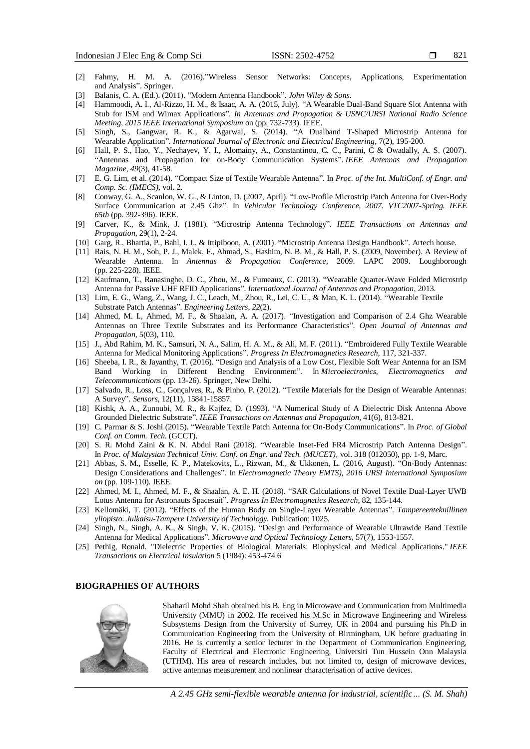- 821
- [2] Fahmy, H. M. A. (2016)."Wireless Sensor Networks: Concepts, Applications, Experimentation and Analysis". Springer.
- [3] Balanis, C. A. (Ed.). (2011). "Modern Antenna Handbook". *John Wiley & Sons*.
- [4] Hammoodi, A. I., Al-Rizzo, H. M., & Isaac, A. A. (2015, July). "A Wearable Dual-Band Square Slot Antenna with Stub for ISM and Wimax Applications". *In Antennas and Propagation & USNC/URSI National Radio Science Meeting, 2015 IEEE International Symposium* on (pp. 732-733). IEEE.
- [5] Singh, S., Gangwar, R. K., & Agarwal, S. (2014). "A Dualband T-Shaped Microstrip Antenna for Wearable Application". *International Journal of Electronic and Electrical Engineering*, 7(2), 195-200.
- [6] Hall, P. S., Hao, Y., Nechayev, Y. I., Alomainy, A., Constantinou, C. C., Parini, C & Owadally, A. S. (2007). "Antennas and Propagation for on-Body Communication Systems". *IEEE Antennas and Propagation Magazine*, *49*(3), 41-58.
- [7] E. G. Lim, et al. (2014). "Compact Size of Textile Wearable Antenna". In *Proc. of the Int. MultiConf. of Engr. and Comp. Sc. (IMECS)*, vol. 2.
- [8] Conway, G. A., Scanlon, W. G., & Linton, D. (2007, April). "Low-Profile Microstrip Patch Antenna for Over-Body Surface Communication at 2.45 Ghz". In *Vehicular Technology Conference, 2007. VTC2007-Spring. IEEE 65th* (pp. 392-396). IEEE.
- [9] Carver, K., & Mink, J. (1981). "Microstrip Antenna Technology". *IEEE Transactions on Antennas and Propagation*, 29(1), 2-24.
- [10] Garg, R., Bhartia, P., Bahl, I. J., & Ittipiboon, A. (2001). "Microstrip Antenna Design Handbook". Artech house.
- [11] Rais, N. H. M., Soh, P. J., Malek, F., Ahmad, S., Hashim, N. B. M., & Hall, P. S. (2009, November). A Review of Wearable Antenna. In *Antennas & Propagation Conference*, 2009. LAPC 2009. Loughborough (pp. 225-228). IEEE.
- [12] Kaufmann, T., Ranasinghe, D. C., Zhou, M., & Fumeaux, C. (2013). "Wearable Quarter-Wave Folded Microstrip Antenna for Passive UHF RFID Applications". *International Journal of Antennas and Propagation*, 2013.
- [13] Lim, E. G., Wang, Z., Wang, J. C., Leach, M., Zhou, R., Lei, C. U., & Man, K. L. (2014). "Wearable Textile Substrate Patch Antennas". *Engineering Letters*, *22*(2).
- [14] Ahmed, M. I., Ahmed, M. F., & Shaalan, A. A. (2017). "Investigation and Comparison of 2.4 Ghz Wearable Antennas on Three Textile Substrates and its Performance Characteristics". *Open Journal of Antennas and Propagation*, 5(03), 110.
- [15] J., Abd Rahim, M. K., Samsuri, N. A., Salim, H. A. M., & Ali, M. F. (2011). "Embroidered Fully Textile Wearable Antenna for Medical Monitoring Applications"*. Progress In Electromagnetics Research*, 117, 321-337.
- [16] Sheeba, I. R., & Jayanthy, T. (2016). "Design and Analysis of a Low Cost, Flexible Soft Wear Antenna for an ISM Band Working in Different Bending Environment". In *Microelectronics, Electromagnetics and Telecommunications* (pp. 13-26). Springer, New Delhi.
- [17] Salvado, R., Loss, C., Gonçalves, R., & Pinho, P. (2012). "Textile Materials for the Design of Wearable Antennas: A Survey". *Sensors*, 12(11), 15841-15857.
- [18] Kishk, A. A., Zunoubi, M. R., & Kajfez, D. (1993). "A Numerical Study of A Dielectric Disk Antenna Above Grounded Dielectric Substrate". *IEEE Transactions on Antennas and Propagation*, 41(6), 813-821.
- [19] C. Parmar & S. Joshi (2015). "Wearable Textile Patch Antenna for On-Body Communications". In *Proc. of Global Conf. on Comm. Tech*. (GCCT).
- [20] S. R. Mohd Zaini & K. N. Abdul Rani (2018). "Wearable Inset-Fed FR4 Microstrip Patch Antenna Design". In *Proc. of Malaysian Technical Univ. Conf. on Engr. and Tech. (MUCET)*, vol. 318 (012050), pp. 1-9, Marc.
- [21] Abbas, S. M., Esselle, K. P., Matekovits, L., Rizwan, M., & Ukkonen, L. (2016, August). "On-Body Antennas: Design Considerations and Challenges". In *Electromagnetic Theory EMTS), 2016 URSI International Symposium on* (pp. 109-110). IEEE.
- [22] Ahmed, M. I., Ahmed, M. F., & Shaalan, A. E. H. (2018). "SAR Calculations of Novel Textile Dual-Layer UWB Lotus Antenna for Astronauts Spacesuit". *Progress In Electromagnetics Research*, 82, 135-144.
- [23] Kellomäki, T. (2012). "Effects of the Human Body on Single-Layer Wearable Antennas". *Tampereenteknillinen yliopisto. Julkaisu-Tampere University of Technology.* Publication; 1025.
- [24] Singh, N., Singh, A. K., & Singh, V. K. (2015). "Design and Performance of Wearable Ultrawide Band Textile Antenna for Medical Applications". *Microwave and Optical Technology Letters*, 57(7), 1553-1557.
- [25] Pethig, Ronald. "Dielectric Properties of Biological Materials: Biophysical and Medical Applications." *IEEE Transactions on Electrical Insulation* 5 (1984): 453-474.6

#### **BIOGRAPHIES OF AUTHORS**



Shaharil Mohd Shah obtained his B. Eng in Microwave and Communication from Multimedia University (MMU) in 2002. He received his M.Sc in Microwave Engineering and Wireless Subsystems Design from the University of Surrey, UK in 2004 and pursuing his Ph.D in Communication Engineering from the University of Birmingham, UK before graduating in 2016. He is currently a senior lecturer in the Department of Communication Engineering, Faculty of Electrical and Electronic Engineering, Universiti Tun Hussein Onn Malaysia (UTHM). His area of research includes, but not limited to, design of microwave devices, active antennas measurement and nonlinear characterisation of active devices.